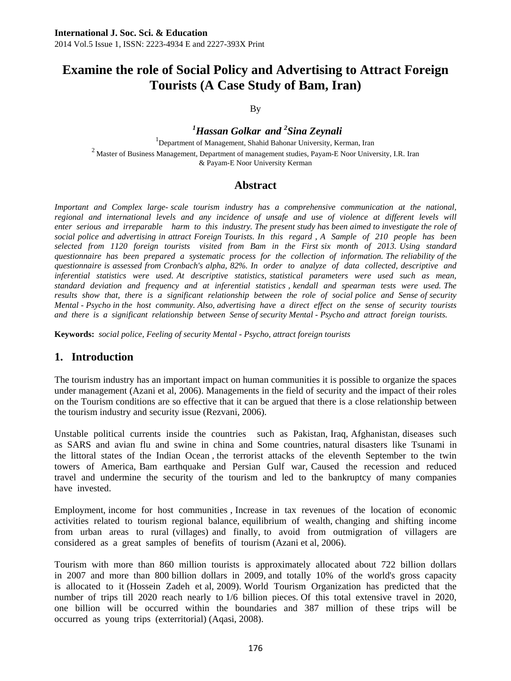# **Examine the role of Social Policy and Advertising to Attract Foreign Tourists (A Case Study of Bam, Iran)**

By

*1 Hassan Golkar and 2 Sina Zeynali* <sup>1</sup>  $1$ Department of Management, Shahid Bahonar University, Kerman, Iran  $2$  Master of Business Management, Department of management studies, Payam-E Noor University, I.R. Iran & Payam-E Noor University Kerman

## **Abstract**

*Important and Complex large- scale tourism industry has a comprehensive communication at the national, regional and international levels and any incidence of unsafe and use of violence at different levels will enter serious and irreparable harm to this industry. The present study has been aimed to investigate the role of social police and advertising in attract Foreign Tourists. In this regard , A Sample of 210 people has been selected from 1120 foreign tourists visited from Bam in the First six month of 2013. Using standard questionnaire has been prepared a systematic process for the collection of information. The reliability of the questionnaire is assessed from Cronbach's alpha, 82%. In order to analyze of data collected, descriptive and inferential statistics were used. At descriptive statistics, statistical parameters were used such as mean, standard deviation and frequency and at inferential statistics , kendall and spearman tests were used. The*  results show that, there is a significant relationship between the role of social police and Sense of security *Mental - Psycho in the host community. Also, advertising have a direct effect on the sense of security tourists and there is a significant relationship between Sense of security Mental - Psycho and attract foreign tourists.* 

**Keywords:** *social police, Feeling of security Mental - Psycho, attract foreign tourists* 

## **1. Introduction**

The tourism industry has an important impact on human communities it is possible to organize the spaces under management (Azani et al, 2006). Managements in the field of security and the impact of their roles on the Tourism conditions are so effective that it can be argued that there is a close relationship between the tourism industry and security issue (Rezvani, 2006).

Unstable political currents inside the countries such as Pakistan, Iraq, Afghanistan, diseases such as SARS and avian flu and swine in china and Some countries, natural disasters like Tsunami in the littoral states of the Indian Ocean , the terrorist attacks of the eleventh September to the twin towers of America, Bam earthquake and Persian Gulf war, Caused the recession and reduced travel and undermine the security of the tourism and led to the bankruptcy of many companies have invested.

Employment, income for host communities , Increase in tax revenues of the location of economic activities related to tourism regional balance, equilibrium of wealth, changing and shifting income from urban areas to rural (villages) and finally, to avoid from outmigration of villagers are considered as a great samples of benefits of tourism (Azani et al, 2006).

Tourism with more than 860 million tourists is approximately allocated about 722 billion dollars in 2007 and more than 800 billion dollars in 2009, and totally 10% of the world's gross capacity is allocated to it (Hossein Zadeh et al, 2009). World Tourism Organization has predicted that the number of trips till 2020 reach nearly to 1/6 billion pieces. Of this total extensive travel in 2020, one billion will be occurred within the boundaries and 387 million of these trips will be occurred as young trips (exterritorial) (Aqasi, 2008).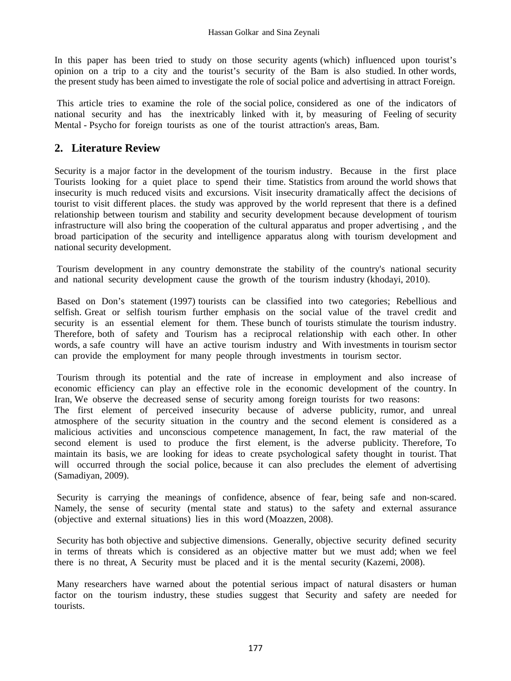In this paper has been tried to study on those security agents (which) influenced upon tourist's opinion on a trip to a city and the tourist's security of the Bam is also studied. In other words, the present study has been aimed to investigate the role of social police and advertising in attract Foreign.

 This article tries to examine the role of the social police, considered as one of the indicators of national security and has the inextricably linked with it, by measuring of Feeling of security Mental - Psycho for foreign tourists as one of the tourist attraction's areas, Bam.

# **2. Literature Review**

Security is a major factor in the development of the tourism industry. Because in the first place Tourists looking for a quiet place to spend their time. Statistics from around the world shows that insecurity is much reduced visits and excursions. Visit insecurity dramatically affect the decisions of tourist to visit different places. the study was approved by the world represent that there is a defined relationship between tourism and stability and security development because development of tourism infrastructure will also bring the cooperation of the cultural apparatus and proper advertising , and the broad participation of the security and intelligence apparatus along with tourism development and national security development.

 Tourism development in any country demonstrate the stability of the country's national security and national security development cause the growth of the tourism industry (khodayi, 2010).

 Based on Don's statement (1997) tourists can be classified into two categories; Rebellious and selfish. Great or selfish tourism further emphasis on the social value of the travel credit and security is an essential element for them. These bunch of tourists stimulate the tourism industry. Therefore, both of safety and Tourism has a reciprocal relationship with each other. In other words, a safe country will have an active tourism industry and With investments in tourism sector can provide the employment for many people through investments in tourism sector.

 Tourism through its potential and the rate of increase in employment and also increase of economic efficiency can play an effective role in the economic development of the country. In Iran, We observe the decreased sense of security among foreign tourists for two reasons:

The first element of perceived insecurity because of adverse publicity, rumor, and unreal atmosphere of the security situation in the country and the second element is considered as a malicious activities and unconscious competence management, In fact, the raw material of the second element is used to produce the first element, is the adverse publicity. Therefore, To maintain its basis, we are looking for ideas to create psychological safety thought in tourist. That will occurred through the social police, because it can also precludes the element of advertising (Samadiyan, 2009).

 Security is carrying the meanings of confidence, absence of fear, being safe and non-scared. Namely, the sense of security (mental state and status) to the safety and external assurance (objective and external situations) lies in this word (Moazzen, 2008).

 Security has both objective and subjective dimensions. Generally, objective security defined security in terms of threats which is considered as an objective matter but we must add; when we feel there is no threat, A Security must be placed and it is the mental security (Kazemi, 2008).

 Many researchers have warned about the potential serious impact of natural disasters or human factor on the tourism industry, these studies suggest that Security and safety are needed for tourists.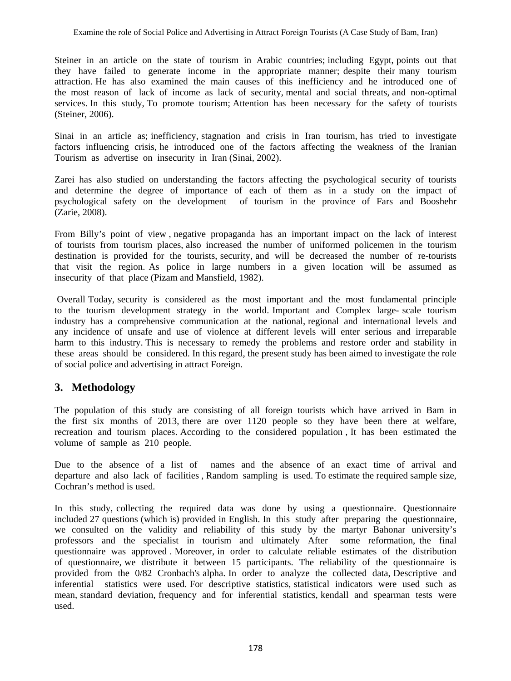Steiner in an article on the state of tourism in Arabic countries; including Egypt, points out that they have failed to generate income in the appropriate manner; despite their many tourism attraction. He has also examined the main causes of this inefficiency and he introduced one of the most reason of lack of income as lack of security, mental and social threats, and non-optimal services. In this study, To promote tourism; Attention has been necessary for the safety of tourists (Steiner, 2006).

Sinai in an article as; inefficiency, stagnation and crisis in Iran tourism, has tried to investigate factors influencing crisis, he introduced one of the factors affecting the weakness of the Iranian Tourism as advertise on insecurity in Iran (Sinai, 2002).

Zarei has also studied on understanding the factors affecting the psychological security of tourists and determine the degree of importance of each of them as in a study on the impact of psychological safety on the development of tourism in the province of Fars and Booshehr (Zarie, 2008).

From Billy's point of view , negative propaganda has an important impact on the lack of interest of tourists from tourism places, also increased the number of uniformed policemen in the tourism destination is provided for the tourists, security, and will be decreased the number of re-tourists that visit the region. As police in large numbers in a given location will be assumed as insecurity of that place (Pizam and Mansfield, 1982).

 Overall Today, security is considered as the most important and the most fundamental principle to the tourism development strategy in the world. Important and Complex large- scale tourism industry has a comprehensive communication at the national, regional and international levels and any incidence of unsafe and use of violence at different levels will enter serious and irreparable harm to this industry. This is necessary to remedy the problems and restore order and stability in these areas should be considered. In this regard, the present study has been aimed to investigate the role of social police and advertising in attract Foreign.

# **3. Methodology**

The population of this study are consisting of all foreign tourists which have arrived in Bam in the first six months of 2013, there are over 1120 people so they have been there at welfare, recreation and tourism places. According to the considered population , It has been estimated the volume of sample as 210 people.

Due to the absence of a list of names and the absence of an exact time of arrival and departure and also lack of facilities , Random sampling is used. To estimate the required sample size, Cochran's method is used.

In this study, collecting the required data was done by using a questionnaire. Questionnaire included 27 questions (which is) provided in English. In this study after preparing the questionnaire, we consulted on the validity and reliability of this study by the martyr Bahonar university's professors and the specialist in tourism and ultimately After some reformation, the final questionnaire was approved . Moreover, in order to calculate reliable estimates of the distribution of questionnaire, we distribute it between 15 participants. The reliability of the questionnaire is provided from the 0/82 Cronbach's alpha. In order to analyze the collected data, Descriptive and inferential statistics were used. For descriptive statistics, statistical indicators were used such as mean, standard deviation, frequency and for inferential statistics, kendall and spearman tests were used.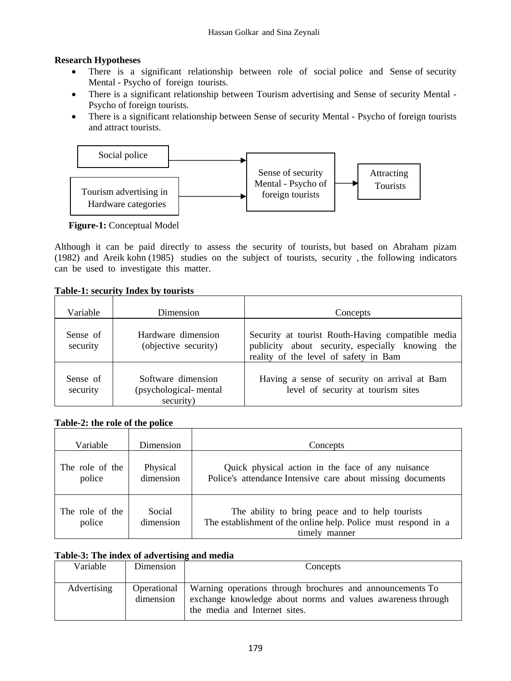## **Research Hypotheses**

- There is a significant relationship between role of social police and Sense of security Mental - Psycho of foreign tourists.
- There is a significant relationship between Tourism advertising and Sense of security Mental Psycho of foreign tourists.
- There is a significant relationship between Sense of security Mental Psycho of foreign tourists and attract tourists.



 **Figure-1:** Conceptual Model

Although it can be paid directly to assess the security of tourists, but based on Abraham pizam (1982) and Areik kohn (1985) studies on the subject of tourists, security , the following indicators can be used to investigate this matter.

#### **Table-1: security Index by tourists**

| Variable             | Dimension                                                | Concepts                                                                                                                                       |
|----------------------|----------------------------------------------------------|------------------------------------------------------------------------------------------------------------------------------------------------|
| Sense of<br>security | Hardware dimension<br>(objective security)               | Security at tourist Routh-Having compatible media<br>publicity about security, especially knowing the<br>reality of the level of safety in Bam |
| Sense of<br>security | Software dimension<br>(psychological-mental<br>security) | Having a sense of security on arrival at Bam<br>level of security at tourism sites                                                             |

## **Table-2: the role of the police**

| Variable                  | Dimension             | Concepts                                                                                                                           |
|---------------------------|-----------------------|------------------------------------------------------------------------------------------------------------------------------------|
| The role of the<br>police | Physical<br>dimension | Quick physical action in the face of any nuisance<br>Police's attendance Intensive care about missing documents                    |
| The role of the<br>police | Social<br>dimension   | The ability to bring peace and to help tourists<br>The establishment of the online help. Police must respond in a<br>timely manner |

## **Table-3: The index of advertising and media**

| Variable    | Dimension | Concepts                                                                                                                                                              |
|-------------|-----------|-----------------------------------------------------------------------------------------------------------------------------------------------------------------------|
| Advertising | dimension | Operational Warning operations through brochures and announcements To<br>exchange knowledge about norms and values awareness through<br>the media and Internet sites. |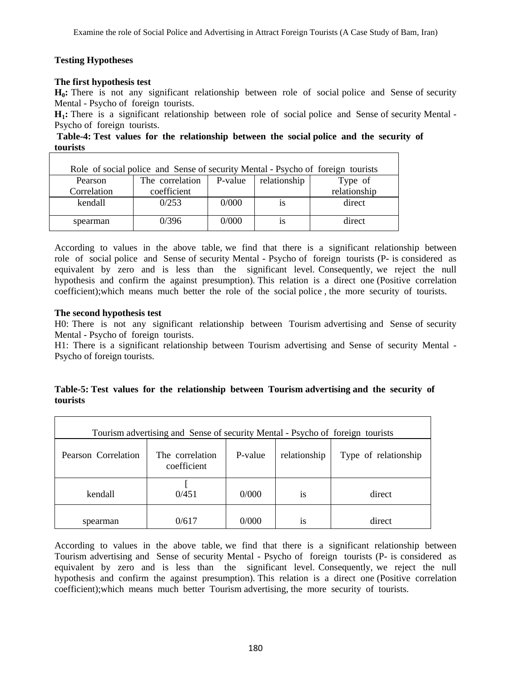## **Testing Hypotheses**

#### **The first hypothesis test**

**H0:** There is not any significant relationship between role of social police and Sense of security Mental - Psycho of foreign tourists.

**H1:** There is a significant relationship between role of social police and Sense of security Mental - Psycho of foreign tourists.

 **Table-4: Test values for the relationship between the social police and the security of tourists** 

| Role of social police and Sense of security Mental - Psycho of foreign tourists |                 |         |              |              |  |  |  |
|---------------------------------------------------------------------------------|-----------------|---------|--------------|--------------|--|--|--|
| Pearson                                                                         | The correlation | P-value | relationship | Type of      |  |  |  |
| Correlation                                                                     | coefficient     |         |              | relationship |  |  |  |
| kendall                                                                         | 0/253           | 0/000   | 1S           | direct       |  |  |  |
| spearman                                                                        | 0/396           | 0/000   | 1S           | direct       |  |  |  |

According to values in the above table, we find that there is a significant relationship between role of social police and Sense of security Mental - Psycho of foreign tourists (P- is considered as equivalent by zero and is less than the significant level. Consequently, we reject the null hypothesis and confirm the against presumption). This relation is a direct one (Positive correlation coefficient);which means much better the role of the social police , the more security of tourists.

#### **The second hypothesis test**

H0: There is not any significant relationship between Tourism advertising and Sense of security Mental - Psycho of foreign tourists.

H1: There is a significant relationship between Tourism advertising and Sense of security Mental - Psycho of foreign tourists.

|          |  |  |  | Table-5: Test values for the relationship between Tourism advertising and the security of |  |  |
|----------|--|--|--|-------------------------------------------------------------------------------------------|--|--|
| tourists |  |  |  |                                                                                           |  |  |

| Tourism advertising and Sense of security Mental - Psycho of foreign tourists |                                |         |              |                      |  |  |  |  |
|-------------------------------------------------------------------------------|--------------------------------|---------|--------------|----------------------|--|--|--|--|
| Pearson Correlation                                                           | The correlation<br>coefficient | P-value | relationship | Type of relationship |  |  |  |  |
| kendall                                                                       | 0/451                          | 0/000   | <b>1S</b>    | direct               |  |  |  |  |
| spearman                                                                      | 0/617                          | 0/000   | <b>1S</b>    | direct               |  |  |  |  |

According to values in the above table, we find that there is a significant relationship between Tourism advertising and Sense of security Mental - Psycho of foreign tourists (P- is considered as equivalent by zero and is less than the significant level. Consequently, we reject the null hypothesis and confirm the against presumption). This relation is a direct one (Positive correlation coefficient);which means much better Tourism advertising, the more security of tourists.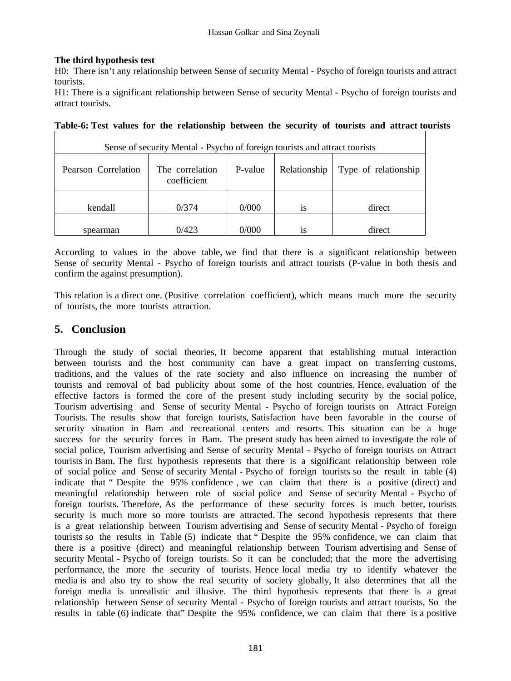#### **The third hypothesis test**

H0: There isn't any relationship between Sense of security Mental - Psycho of foreign tourists and attract tourists.

H1: There is a significant relationship between Sense of security Mental - Psycho of foreign tourists and attract tourists.

| Sense of security Mental - Psycho of foreign tourists and attract tourists |                                |         |              |                      |  |  |  |  |
|----------------------------------------------------------------------------|--------------------------------|---------|--------------|----------------------|--|--|--|--|
| Pearson Correlation                                                        | The correlation<br>coefficient | P-value | Relationship | Type of relationship |  |  |  |  |
| kendall                                                                    | 0/374                          | 0/000   | 1S           | direct               |  |  |  |  |
| spearman                                                                   | 0/423                          | 0/000   | 1S           | direct               |  |  |  |  |

| Table-6: Test values for the relationship between the security of tourists and attract tourists |  |  |  |  |  |  |  |
|-------------------------------------------------------------------------------------------------|--|--|--|--|--|--|--|
|-------------------------------------------------------------------------------------------------|--|--|--|--|--|--|--|

According to values in the above table, we find that there is a significant relationship between Sense of security Mental - Psycho of foreign tourists and attract tourists (P-value in both thesis and confirm the against presumption).

This relation is a direct one. (Positive correlation coefficient), which means much more the security of tourists, the more tourists attraction.

## **5. Conclusion**

Through the study of social theories, It become apparent that establishing mutual interaction between tourists and the host community can have a great impact on transferring customs, traditions, and the values of the rate society and also influence on increasing the number of tourists and removal of bad publicity about some of the host countries. Hence, evaluation of the effective factors is formed the core of the present study including security by the social police, Tourism advertising and Sense of security Mental - Psycho of foreign tourists on Attract Foreign Tourists. The results show that foreign tourists, Satisfaction have been favorable in the course of security situation in Bam and recreational centers and resorts. This situation can be a huge success for the security forces in Bam. The present study has been aimed to investigate the role of social police, Tourism advertising and Sense of security Mental - Psycho of foreign tourists on Attract tourists in Bam. The first hypothesis represents that there is a significant relationship between role of social police and Sense of security Mental - Psycho of foreign tourists so the result in table (4) indicate that " Despite the 95% confidence , we can claim that there is a positive (direct) and meaningful relationship between role of social police and Sense of security Mental - Psycho of foreign tourists. Therefore, As the performance of these security forces is much better, tourists security is much more so more tourists are attracted. The second hypothesis represents that there is a great relationship between Tourism advertising and Sense of security Mental - Psycho of foreign tourists so the results in Table (5) indicate that " Despite the 95% confidence, we can claim that there is a positive (direct) and meaningful relationship between Tourism advertising and Sense of security Mental - Psycho of foreign tourists. So it can be concluded; that the more the advertising performance, the more the security of tourists. Hence local media try to identify whatever the media is and also try to show the real security of society globally, It also determines that all the foreign media is unrealistic and illusive. The third hypothesis represents that there is a great relationship between Sense of security Mental - Psycho of foreign tourists and attract tourists, So the results in table (6) indicate that" Despite the 95% confidence, we can claim that there is a positive